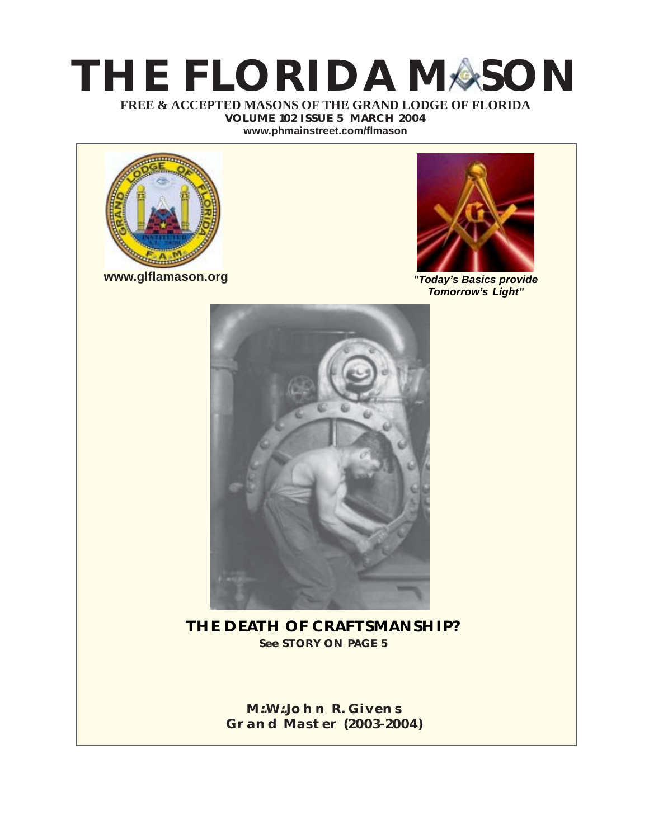# **THE FLORIDA MASON**

**FREE & ACCEPTED MASONS OF THE GRAND LODGE OF FLORIDA VOLUME 102 ISSUE 5 MARCH 2004**

**[www.phmainstreet.com/flmason](http://www.phmainstreet.com/flmason/)**



**[www.glflamason.org](http://www.glflamason.org/)**



*"Today's Basics provide Tomorrow's Light"*



**THE DEATH OF CRAFTSMANSHIP? See STORY ON PAGE 5**

> **M:.W:.[John R. Givens](mailto:johgive@aol.com) [Grand Master \(2003-2004\)](mailto:johgive@aol.com)**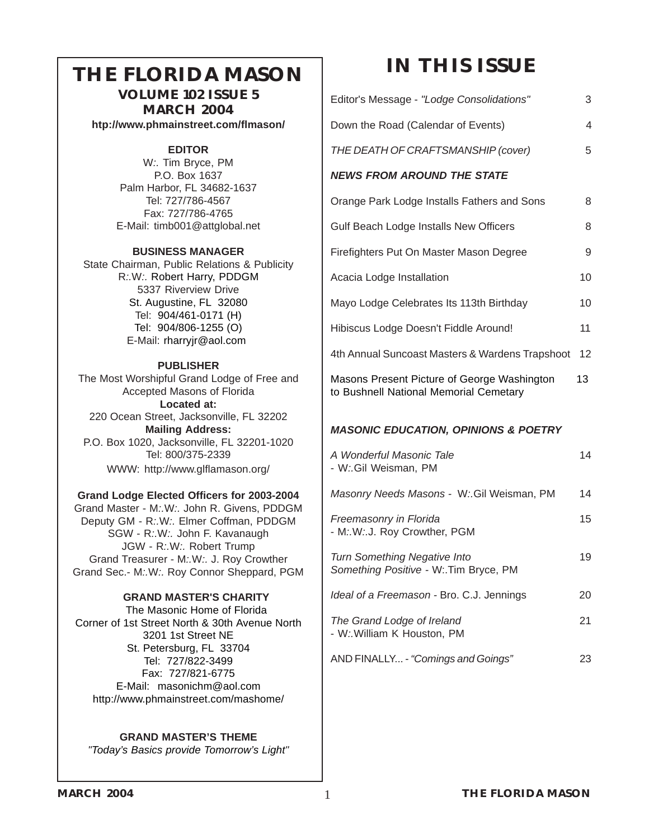# **THE FLORIDA MASON**

**VOLUME 102 ISSUE 5 MARCH 2004 [htp://www.phmainstreet.com/flmason/](http://www.phmainstreet.com/flmason/)**

#### **EDITOR**

W*:.* Tim Bryce, PM P.O. Box 1637 Palm Harbor, FL 34682-1637 Tel: 727/786-4567 Fax: 727/786-4765 E-Mail: [timb001@attglobal.ne](mailto:timb001@attglobal.net)t

#### **BUSINESS MANAGER**

State Chairman, Public Relations & Publicity R*:.*W*:.* Robert Harry, PDDGM 5337 Riverview Drive St. Augustine, FL 32080 Tel: 904/461-0171 (H) Tel: 904/806-1255 (O) E-Mail: rharryjr@aol.com

#### **PUBLISHER**

The Most Worshipful Grand Lodge of Free and Accepted Masons of Florida **Located at:** 220 Ocean Street, Jacksonville, FL 32202 **Mailing Address:** P.O. Box 1020, Jacksonville, FL 32201-1020 Tel: 800/375-2339 WWW: <http://www.glflamason.org/>

#### **Grand Lodge Elected Officers for 2003-2004**

Grand Master - M*:.*W*:.* [John R. Givens, PDDG](mailto:johgive@aol.com)M Deputy GM - R*:.*W*:.* [Elmer Coffman, PDDGM](mailto:ecoffman45@aol.com) SGW - R*:.*W*:.* John F. Kavanaugh JGW - R*:.*W*:.* Robert Trump Grand Treasurer - M*:.*W*:.* J. Roy Crowther Grand Sec.- M*:.*W*:.* [Roy Connor Sheppard, PGM](mailto:grsec@glflamason.org)

#### **GRAND MASTER'S CHARITY**

 The Masonic Home of Florida Corner of 1st Street North & 30th Avenue North 3201 1st Street NE St. Petersburg, FL 33704 Tel: 727/822-3499 Fax: 727/821-6775 E-Mail: [masonichm@aol.com](#page-565-0) [http://www.phmainstreet.com/mashome/](#page--1-0)

#### **GRAND MASTER'S THEME**

*"Today's Basics provide Tomorrow's Light"*

# **IN THIS ISSUE**

| Editor's Message - "Lodge Consolidations"                                             | 3  |
|---------------------------------------------------------------------------------------|----|
| Down the Road (Calendar of Events)                                                    | 4  |
| THE DEATH OF CRAFTSMANSHIP (cover)                                                    | 5  |
| <b>NEWS FROM AROUND THE STATE</b>                                                     |    |
| Orange Park Lodge Installs Fathers and Sons                                           | 8  |
| Gulf Beach Lodge Installs New Officers                                                | 8  |
| Firefighters Put On Master Mason Degree                                               | 9  |
| Acacia Lodge Installation                                                             | 10 |
| Mayo Lodge Celebrates Its 113th Birthday                                              | 10 |
| Hibiscus Lodge Doesn't Fiddle Around!                                                 | 11 |
| 4th Annual Suncoast Masters & Wardens Trapshoot                                       | 12 |
| Masons Present Picture of George Washington<br>to Bushnell National Memorial Cemetary |    |
| <b>MASONIC EDUCATION, OPINIONS &amp; POETRY</b>                                       |    |
| A Wonderful Masonic Tale<br>- W:.Gil Weisman, PM                                      | 14 |
| Masonry Needs Masons - W: Gil Weisman, PM                                             | 14 |
| Freemasonry in Florida<br>- M.W.J. Roy Crowther, PGM                                  | 15 |
| <b>Turn Something Negative Into</b><br>Something Positive - W: Tim Bryce, PM          | 19 |

| Ideal of a Freemason - Bro. C.J. Jennings                | 20  |
|----------------------------------------------------------|-----|
| The Grand Lodge of Ireland<br>- W: William K Houston, PM | -21 |

AND FINALLY... - *"Comings and Goings"* 23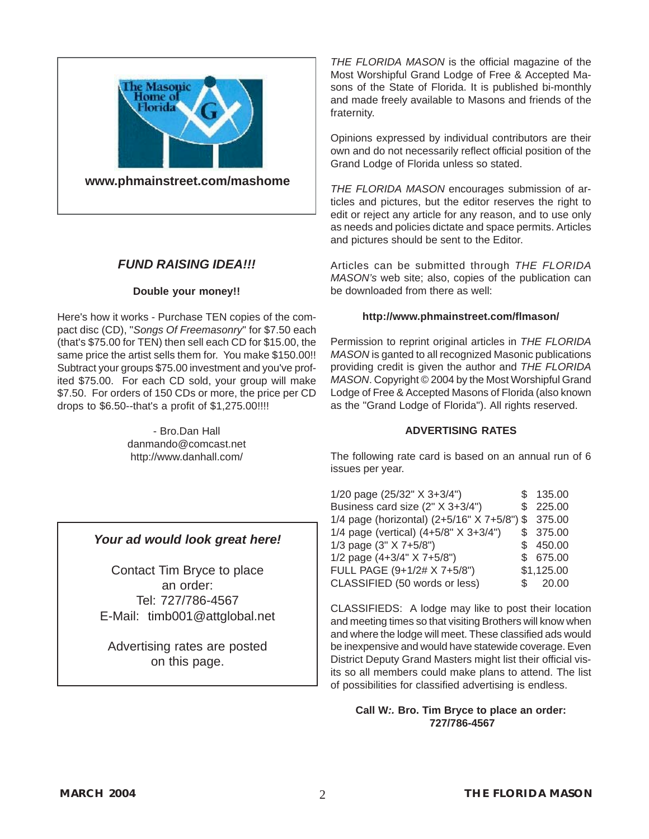

#### *FUND RAISING IDEA!!!*

#### **Double your money!!**

Here's how it works - Purchase TEN copies of the compact disc (CD), "*Songs Of Freemasonry*" for \$7.50 each (that's \$75.00 for TEN) then sell each CD for \$15.00, the same price the artist sells them for. You make \$150.00!! Subtract your groups \$75.00 investment and you've profited \$75.00. For each CD sold, your group will make \$7.50. For orders of 150 CDs or more, the price per CD drops to \$6.50--that's a profit of \$1,275.00!!!!

> - Bro.Dan Hall danmando@comcast.net http://www.danhall.com/

#### *Your ad would look great here!*

Contact Tim Bryce to place an order: Tel: 727/786-4567 E-Mail: [timb001@attglobal.net](mailto:timb001@attglobal.net)

Advertising rates are posted on this page.

*THE FLORIDA MASON* is the official magazine of the Most Worshipful Grand Lodge of Free & Accepted Masons of the State of Florida. It is published bi-monthly and made freely available to Masons and friends of the fraternity.

Opinions expressed by individual contributors are their own and do not necessarily reflect official position of the Grand Lodge of Florida unless so stated.

*THE FLORIDA MASON* encourages submission of articles and pictures, but the editor reserves the right to edit or reject any article for any reason, and to use only as needs and policies dictate and space permits. Articles and pictures should be sent to the Editor.

Articles can be submitted through *THE FLORIDA MASON's* web site; also, copies of the publication can be downloaded from there as well:

#### **<http://www.phmainstreet.com/flmason/>**

Permission to reprint original articles in *THE FLORIDA MASON* is ganted to all recognized Masonic publications providing credit is given the author and *THE FLORIDA MASON*. Copyright © 2004 by the Most Worshipful Grand Lodge of Free & Accepted Masons of Florida (also known as the "Grand Lodge of Florida"). All rights reserved.

#### **ADVERTISING RATES**

The following rate card is based on an annual run of 6 issues per year.

| 1/20 page (25/32" X 3+3/4")                        | \$135.00   |
|----------------------------------------------------|------------|
| Business card size (2" X 3+3/4")                   | \$225.00   |
| 1/4 page (horizontal) (2+5/16" X 7+5/8") \$ 375.00 |            |
| 1/4 page (vertical) $(4+5/8" \times 3+3/4")$       | \$ 375.00  |
| 1/3 page $(3" X 7+5/8")$                           | \$450.00   |
| 1/2 page $(4+3/4" X 7+5/8")$                       | \$675.00   |
| FULL PAGE (9+1/2# X 7+5/8")                        | \$1,125.00 |
| CLASSIFIED (50 words or less)                      | \$ 20.00   |

CLASSIFIEDS: A lodge may like to post their location and meeting times so that visiting Brothers will know when and where the lodge will meet. These classified ads would be inexpensive and would have statewide coverage. Even District Deputy Grand Masters might list their official visits so all members could make plans to attend. The list of possibilities for classified advertising is endless.

**Call W***:.* **[Bro. Tim Bryce](mailto:timb001@attglobal.net) to place an order: 727/786-4567**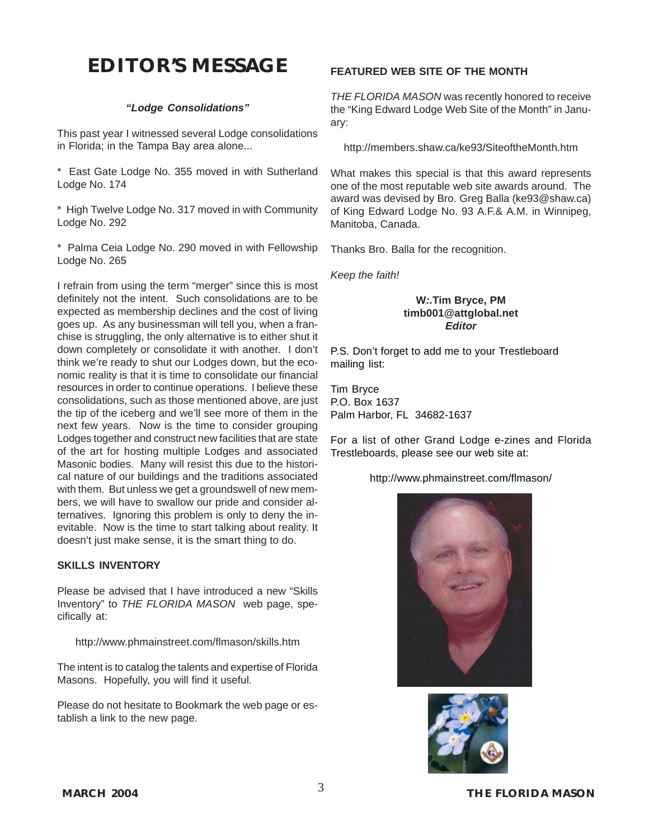# **EDITOR'S MESSAGE**

#### *"Lodge Consolidations"*

This past year I witnessed several Lodge consolidations in Florida; in the Tampa Bay area alone...

\* East Gate Lodge No. 355 moved in with Sutherland Lodge No. 174

\* High Twelve Lodge No. 317 moved in with Community Lodge No. 292

\* Palma Ceia Lodge No. 290 moved in with Fellowship Lodge No. 265

I refrain from using the term "merger" since this is most definitely not the intent. Such consolidations are to be expected as membership declines and the cost of living goes up. As any businessman will tell you, when a franchise is struggling, the only alternative is to either shut it down completely or consolidate it with another. I don't think we're ready to shut our Lodges down, but the economic reality is that it is time to consolidate our financial resources in order to continue operations. I believe these consolidations, such as those mentioned above, are just the tip of the iceberg and we'll see more of them in the next few years. Now is the time to consider grouping Lodges together and construct new facilities that are state of the art for hosting multiple Lodges and associated Masonic bodies. Many will resist this due to the historical nature of our buildings and the traditions associated with them. But unless we get a groundswell of new members, we will have to swallow our pride and consider alternatives. Ignoring this problem is only to deny the inevitable. Now is the time to start talking about reality. It doesn't just make sense, it is the smart thing to do.

#### **SKILLS INVENTORY**

Please be advised that I have introduced a new "Skills Inventory" to *THE FLORIDA MASON* web page, specifically at:

http://www.phmainstreet.com/flmason/skills.htm

The intent is to catalog the talents and expertise of Florida Masons. Hopefully, you will find it useful.

Please do not hesitate to Bookmark the web page or establish a link to the new page.

#### **FEATURED WEB SITE OF THE MONTH**

*THE FLORIDA MASON* was recently honored to receive the "King Edward Lodge Web Site of the Month" in January:

http://members.shaw.ca/ke93/SiteoftheMonth.htm

What makes this special is that this award represents one of the most reputable web site awards around. The award was devised by Bro. Greg Balla (ke93@shaw.ca) of King Edward Lodge No. 93 A.F.& A.M. in Winnipeg, Manitoba, Canada.

Thanks Bro. Balla for the recognition.

*Keep the faith!*

#### **W***:.***[Tim Bryce](mailto:timb001@attglobal.net), PM [timb001@attglobal.net](mailto:timb001@attglobal.net)** *Editor*

P.S. Don't forget to add me to your Trestleboard mailing list:

Tim Bryce P.O. Box 1637 Palm Harbor, FL 34682-1637

For a list of other Grand Lodge e-zines and Florida Trestleboards, please see our web site at:

<http://www.phmainstreet.com/flmason/>



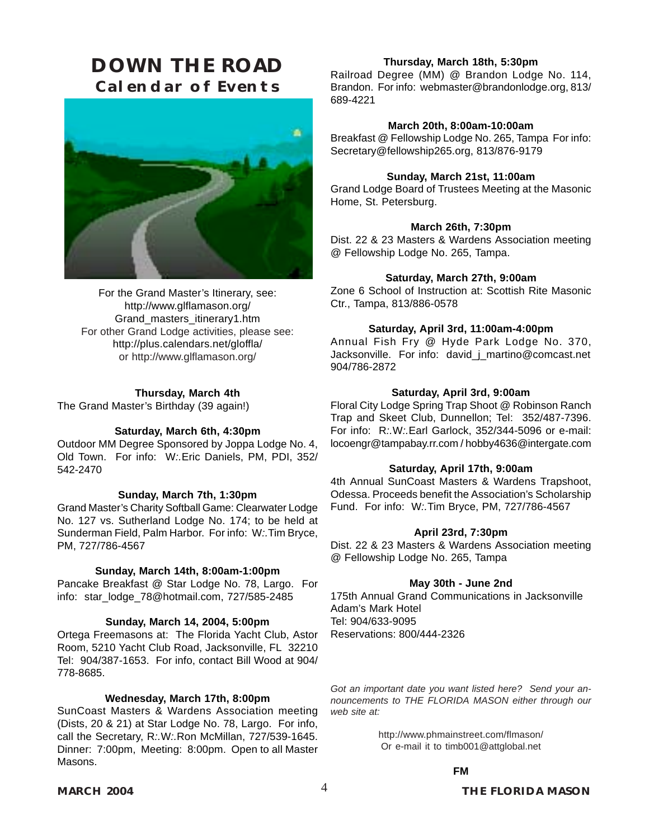# <span id="page-4-0"></span>**DOWN THE ROAD Calendar of Events**



For the Grand Master's Itinerary, see: http://www.glflamason.org/ Grand\_masters\_itinerary1.htm For other Grand Lodge activities, please see: http://plus.calendars.net/gloffla/ or <http://www.glflamason.org/>

#### **Thursday, March 4th**

The Grand Master's Birthday (39 again!)

#### **Saturday, March 6th, 4:30pm**

Outdoor MM Degree Sponsored by Joppa Lodge No. 4, Old Town. For info: W*:.*[Eric Daniels, PM, PDI,](#page-10-0) 352/ 542-2470

#### **Sunday, March 7th, 1:30pm**

Grand Master's Charity Softball Game: Clearwater Lodge No. 127 vs. Sutherland Lodge No. 174; to be held at Sunderman Field, Palm Harbor. For info: W*:.*[Tim Bryce,](mailto:timb001@attglobal.net) [PM,](mailto:timb001@attglobal.net) 727/786-4567

#### **Sunday, March 14th, 8:00am-1:00pm**

Pancake Breakfast @ [Star Lodge No. 78](#page-9-0), Largo. For info: star\_lodge\_78@hotmail.com, 727/585-2485

#### **Sunday, March 14, 2004, 5:00pm**

Ortega Freemasons at: The Florida Yacht Club, Astor Room, 5210 Yacht Club Road, Jacksonville, FL 32210 Tel: 904/387-1653. For info, contact Bill Wood at 904/ 778-8685.

#### **Wednesday, March 17th, 8:00pm**

SunCoast Masters & Wardens Association meeting (Dists, 20 & 21) at [Star Lodge No. 78](#page-9-0), Largo. For info, call the Secretary, R*:.*W*:.*Ron McMillan, 727/539-1645. Dinner: 7:00pm, Meeting: 8:00pm. Open to all Master Masons.

#### **Thursday, March 18th, 5:30pm**

Railroad Degree (MM) @ [Brandon Lodge No. 114,](#page-9-0) Brandon. For info: webmaster@brandonlodge.org, 813/ 689-4221

#### **March 20th, 8:00am-10:00am**

Breakfast @ Fellowship Lodge No. 265, Tampa For info: Secretary@fellowship265.org, 813/876-9179

#### **Sunday, March 21st, 11:00am**

Grand Lodge Board of Trustees Meeting at the [Masonic](#page--1-0) [Home,](#page--1-0) St. Petersburg.

#### **March 26th, 7:30pm**

Dist. 22 & 23 Masters & Wardens Association meeting @ Fellowship Lodge No. 265, Tampa.

#### **Saturday, March 27th, 9:00am**

Zone 6 School of Instruction at: Scottish Rite Masonic Ctr., Tampa, 813/886-0578

#### **Saturday, April 3rd, 11:00am-4:00pm**

Annual Fish Fry @ Hyde Park Lodge No. 370, Jacksonville. For info: david\_j\_martino@comcast.net 904/786-2872

#### **Saturday, April 3rd, 9:00am**

Floral City Lodge Spring Trap Shoot @ Robinson Ranch Trap and Skeet Club, Dunnellon; Tel: 352/487-7396. For info: R*:.*W*:.*Earl Garlock, 352/344-5096 or e-mail: locoengr@tampabay.rr.com / hobby4636@intergate.com

#### **Saturday, April 17th, 9:00am**

4th Annual SunCoast Masters & Wardens Trapshoot, Odessa. Proceeds benefit the Association's Scholarship Fund. For info: W*:.*[Tim Bryce, PM,](mailto:timb001@attglobal.net) 727/786-4567

#### **April 23rd, 7:30pm**

Dist. 22 & 23 Masters & Wardens Association meeting @ Fellowship Lodge No. 265, Tampa

#### **May 30th - June 2nd**

175th Annual Grand Communications in Jacksonville Adam's Mark Hotel Tel: 904/633-9095 Reservations: 800/444-2326

*Got an important date you want listed here? Send your announcements to THE FLORIDA MASON either through our web site at:*

> <http://www.phmainstreet.com/flmason/> Or e-mail it to [timb001@attglobal.net](mailto:timb001@attglobal.net)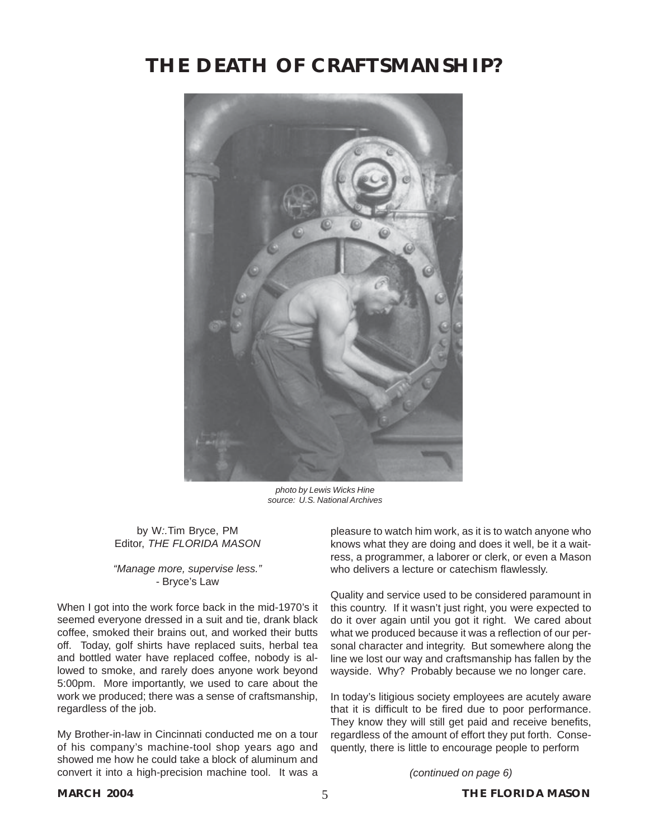# **THE DEATH OF CRAFTSMANSHIP?**



*photo by Lewis Wicks Hine source: U.S. National Archives*

by W*:.*[Tim Bryce, PM](mailto:timb001@attglobal.net) Editor, *[THE FLORIDA MASON](mailto:timb001@attglobal.net)*

*"Manage more, supervise less."* - Bryce's Law

When I got into the work force back in the mid-1970's it seemed everyone dressed in a suit and tie, drank black coffee, smoked their brains out, and worked their butts off. Today, golf shirts have replaced suits, herbal tea and bottled water have replaced coffee, nobody is allowed to smoke, and rarely does anyone work beyond 5:00pm. More importantly, we used to care about the work we produced; there was a sense of craftsmanship, regardless of the job.

My Brother-in-law in Cincinnati conducted me on a tour of his company's machine-tool shop years ago and showed me how he could take a block of aluminum and convert it into a high-precision machine tool. It was a

pleasure to watch him work, as it is to watch anyone who knows what they are doing and does it well, be it a waitress, a programmer, a laborer or clerk, or even a Mason who delivers a lecture or catechism flawlessly.

Quality and service used to be considered paramount in this country. If it wasn't just right, you were expected to do it over again until you got it right. We cared about what we produced because it was a reflection of our personal character and integrity. But somewhere along the line we lost our way and craftsmanship has fallen by the wayside. Why? Probably because we no longer care.

In today's litigious society employees are acutely aware that it is difficult to be fired due to poor performance. They know they will still get paid and receive benefits, regardless of the amount of effort they put forth. Consequently, there is little to encourage people to perform

*(continued on page 6)*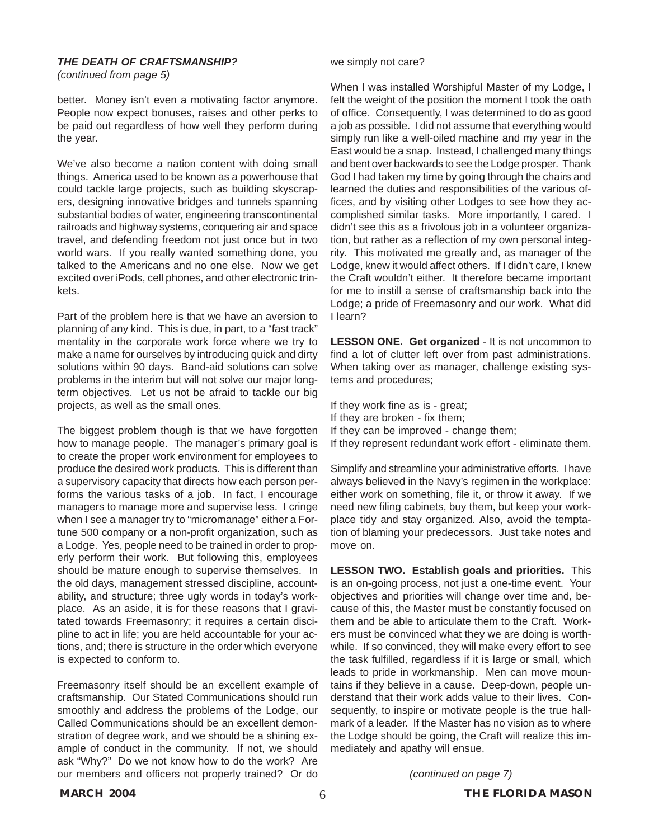#### *THE DEATH OF CRAFTSMANSHIP?*

*(continued from page 5)*

better. Money isn't even a motivating factor anymore. People now expect bonuses, raises and other perks to be paid out regardless of how well they perform during the year.

We've also become a nation content with doing small things. America used to be known as a powerhouse that could tackle large projects, such as building skyscrapers, designing innovative bridges and tunnels spanning substantial bodies of water, engineering transcontinental railroads and highway systems, conquering air and space travel, and defending freedom not just once but in two world wars. If you really wanted something done, you talked to the Americans and no one else. Now we get excited over iPods, cell phones, and other electronic trinkets.

Part of the problem here is that we have an aversion to planning of any kind. This is due, in part, to a "fast track" mentality in the corporate work force where we try to make a name for ourselves by introducing quick and dirty solutions within 90 days. Band-aid solutions can solve problems in the interim but will not solve our major longterm objectives. Let us not be afraid to tackle our big projects, as well as the small ones.

The biggest problem though is that we have forgotten how to manage people. The manager's primary goal is to create the proper work environment for employees to produce the desired work products. This is different than a supervisory capacity that directs how each person performs the various tasks of a job. In fact, I encourage managers to manage more and supervise less. I cringe when I see a manager try to "micromanage" either a Fortune 500 company or a non-profit organization, such as a Lodge. Yes, people need to be trained in order to properly perform their work. But following this, employees should be mature enough to supervise themselves. In the old days, management stressed discipline, accountability, and structure; three ugly words in today's workplace. As an aside, it is for these reasons that I gravitated towards Freemasonry; it requires a certain discipline to act in life; you are held accountable for your actions, and; there is structure in the order which everyone is expected to conform to.

Freemasonry itself should be an excellent example of craftsmanship. Our Stated Communications should run smoothly and address the problems of the Lodge, our Called Communications should be an excellent demonstration of degree work, and we should be a shining example of conduct in the community. If not, we should ask "Why?" Do we not know how to do the work? Are our members and officers not properly trained? Or do

we simply not care?

When I was installed Worshipful Master of my Lodge, I felt the weight of the position the moment I took the oath of office. Consequently, I was determined to do as good a job as possible. I did not assume that everything would simply run like a well-oiled machine and my year in the East would be a snap. Instead, I challenged many things and bent over backwards to see the Lodge prosper. Thank God I had taken my time by going through the chairs and learned the duties and responsibilities of the various offices, and by visiting other Lodges to see how they accomplished similar tasks. More importantly, I cared. I didn't see this as a frivolous job in a volunteer organization, but rather as a reflection of my own personal integrity. This motivated me greatly and, as manager of the Lodge, knew it would affect others. If I didn't care, I knew the Craft wouldn't either. It therefore became important for me to instill a sense of craftsmanship back into the Lodge; a pride of Freemasonry and our work. What did I learn?

**LESSON ONE. Get organized** - It is not uncommon to find a lot of clutter left over from past administrations. When taking over as manager, challenge existing systems and procedures;

If they work fine as is - great; If they are broken - fix them; If they can be improved - change them; If they represent redundant work effort - eliminate them.

Simplify and streamline your administrative efforts. I have always believed in the Navy's regimen in the workplace: either work on something, file it, or throw it away. If we need new filing cabinets, buy them, but keep your workplace tidy and stay organized. Also, avoid the temptation of blaming your predecessors. Just take notes and move on.

**LESSON TWO. Establish goals and priorities.** This is an on-going process, not just a one-time event. Your objectives and priorities will change over time and, because of this, the Master must be constantly focused on them and be able to articulate them to the Craft. Workers must be convinced what they we are doing is worthwhile. If so convinced, they will make every effort to see the task fulfilled, regardless if it is large or small, which leads to pride in workmanship. Men can move mountains if they believe in a cause. Deep-down, people understand that their work adds value to their lives. Consequently, to inspire or motivate people is the true hallmark of a leader. If the Master has no vision as to where the Lodge should be going, the Craft will realize this immediately and apathy will ensue.

*(continued on page 7)*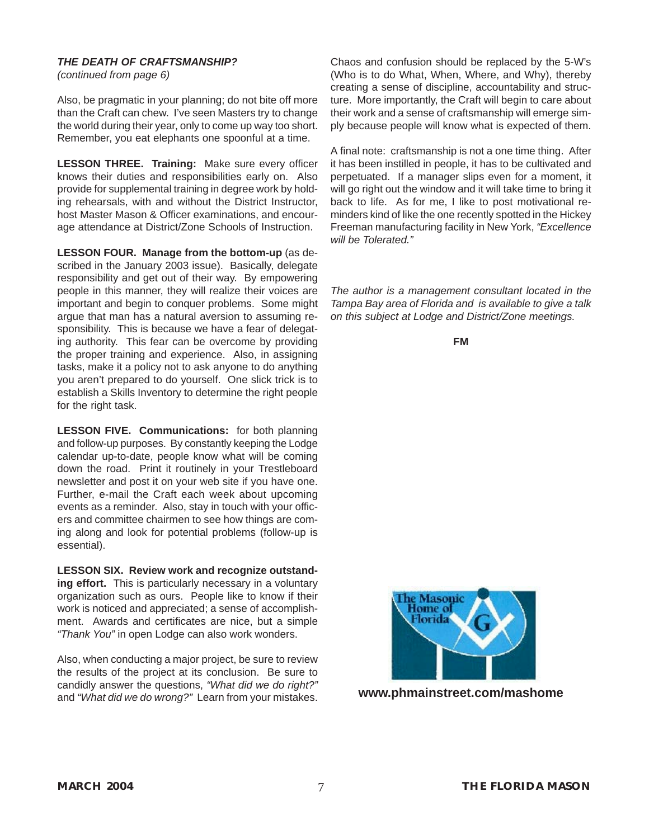#### *THE DEATH OF CRAFTSMANSHIP?*

*(continued from page 6)*

Also, be pragmatic in your planning; do not bite off more than the Craft can chew. I've seen Masters try to change the world during their year, only to come up way too short. Remember, you eat elephants one spoonful at a time.

**LESSON THREE. Training:** Make sure every officer knows their duties and responsibilities early on. Also provide for supplemental training in degree work by holding rehearsals, with and without the District Instructor, host Master Mason & Officer examinations, and encourage attendance at District/Zone Schools of Instruction.

**LESSON FOUR. Manage from the bottom-up** (as described in the January 2003 issue). Basically, delegate responsibility and get out of their way. By empowering people in this manner, they will realize their voices are important and begin to conquer problems. Some might argue that man has a natural aversion to assuming responsibility. This is because we have a fear of delegating authority. This fear can be overcome by providing the proper training and experience. Also, in assigning tasks, make it a policy not to ask anyone to do anything you aren't prepared to do yourself. One slick trick is to establish a Skills Inventory to determine the right people for the right task.

**LESSON FIVE. Communications:** for both planning and follow-up purposes. By constantly keeping the Lodge calendar up-to-date, people know what will be coming down the road. Print it routinely in your Trestleboard newsletter and post it on your web site if you have one. Further, e-mail the Craft each week about upcoming events as a reminder. Also, stay in touch with your officers and committee chairmen to see how things are coming along and look for potential problems (follow-up is essential).

**LESSON SIX. Review work and recognize outstanding effort.** This is particularly necessary in a voluntary organization such as ours. People like to know if their work is noticed and appreciated; a sense of accomplishment. Awards and certificates are nice, but a simple *"Thank You"* in open Lodge can also work wonders.

Also, when conducting a major project, be sure to review the results of the project at its conclusion. Be sure to candidly answer the questions, *"What did we do right?"* and *"What did we do wrong?"* Learn from your mistakes.

Chaos and confusion should be replaced by the 5-W's (Who is to do What, When, Where, and Why), thereby creating a sense of discipline, accountability and structure. More importantly, the Craft will begin to care about their work and a sense of craftsmanship will emerge simply because people will know what is expected of them.

A final note: craftsmanship is not a one time thing. After it has been instilled in people, it has to be cultivated and perpetuated. If a manager slips even for a moment, it will go right out the window and it will take time to bring it back to life. As for me, I like to post motivational reminders kind of like the one recently spotted in the Hickey Freeman manufacturing facility in New York, *"Excellence will be Tolerated."*

*The author is a management consultant located in the Tampa Bay area of Florida and is available to give a talk on this subject at Lodge and District/Zone meetings.*

**FM**



**www.phmainstreet.com/mashome**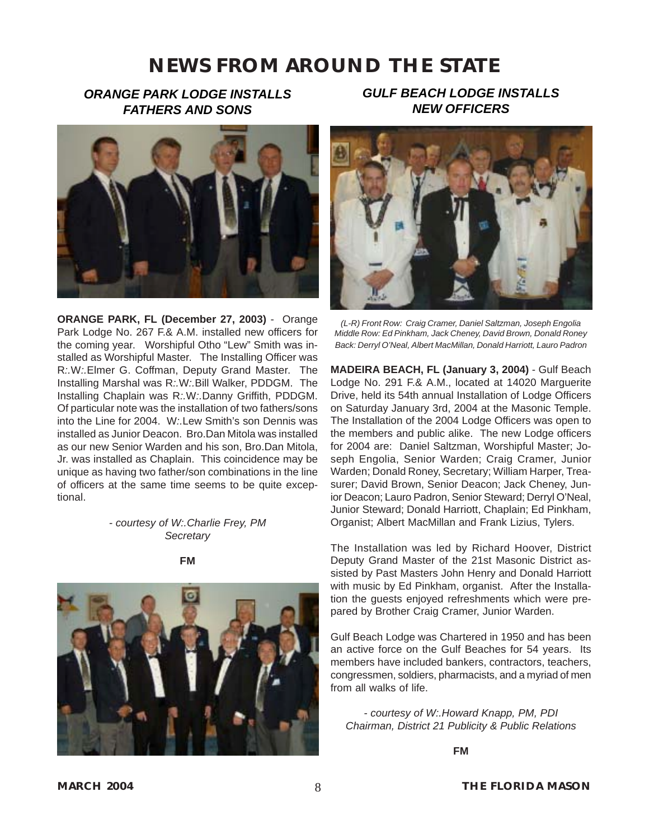## <span id="page-8-0"></span>*ORANGE PARK LODGE INSTALLS FATHERS AND SONS*



**ORANGE PARK, FL (December 27, 2003)** - Orange Park Lodge No. 267 F.& A.M. installed new officers for the coming year. Worshipful Otho "Lew" Smith was installed as Worshipful Master. The Installing Officer was R*:.*W*:.*[Elmer G. Coffman](mailto:ecoffman45@aol.com), Deputy Grand Master. The Installing Marshal was R*:.*W*:.*Bill Walker, PDDGM. The Installing Chaplain was R*:.*W*:.*Danny Griffith, PDDGM. Of particular note was the installation of two fathers/sons into the Line for 2004. W*:.*Lew Smith's son Dennis was installed as Junior Deacon. Bro.Dan Mitola was installed as our new Senior Warden and his son, Bro.Dan Mitola, Jr. was installed as Chaplain. This coincidence may be unique as having two father/son combinations in the line of officers at the same time seems to be quite exceptional.

#### *- courtesy of W:.Charlie Frey, PM Secretary*

**FM**



### *GULF BEACH LODGE INSTALLS NEW OFFICERS*



*(L-R) Front Row: Craig Cramer, Daniel Saltzman, Joseph Engolia Middle Row: Ed Pinkham, Jack Cheney, David Brown, Donald Roney Back: Derryl O'Neal, Albert MacMillan, Donald Harriott, Lauro Padron*

**MADEIRA BEACH, FL (January 3, 2004)** - Gulf Beach Lodge No. 291 F.& A.M., located at 14020 Marguerite Drive, held its 54th annual Installation of Lodge Officers on Saturday January 3rd, 2004 at the Masonic Temple. The Installation of the 2004 Lodge Officers was open to the members and public alike. The new Lodge officers for 2004 are: Daniel Saltzman, Worshipful Master; Joseph Engolia, Senior Warden; Craig Cramer, Junior Warden; Donald Roney, Secretary; William Harper, Treasurer; David Brown, Senior Deacon; Jack Cheney, Junior Deacon; Lauro Padron, Senior Steward; Derryl O'Neal, Junior Steward; Donald Harriott, Chaplain; Ed Pinkham, Organist; Albert MacMillan and Frank Lizius, Tylers.

The Installation was led by Richard Hoover, District Deputy Grand Master of the 21st Masonic District assisted by Past Masters John Henry and Donald Harriott with music by Ed Pinkham, organist. After the Installation the guests enjoyed refreshments which were prepared by Brother Craig Cramer, Junior Warden.

Gulf Beach Lodge was Chartered in 1950 and has been an active force on the Gulf Beaches for 54 years. Its members have included bankers, contractors, teachers, congressmen, soldiers, pharmacists, and a myriad of men from all walks of life.

*- courtesy of W:.Howard Knapp, PM, PDI Chairman, District 21 Publicity & Public Relations*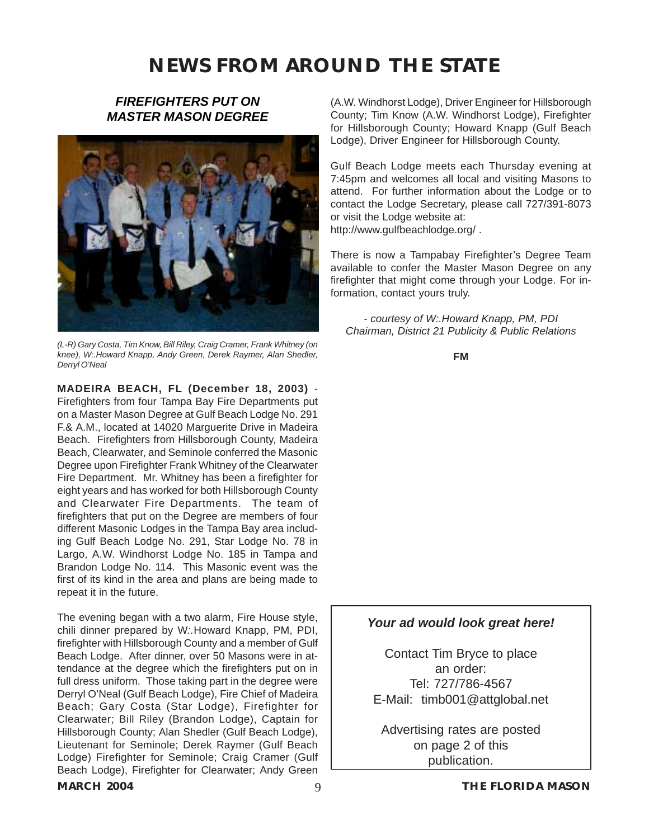### *FIREFIGHTERS PUT ON MASTER MASON DEGREE*

<span id="page-9-0"></span>

*(L-R) Gary Costa, Tim Know, Bill Riley, Craig Cramer, Frank Whitney (on knee), W:.Howard Knapp, Andy Green, Derek Raymer, Alan Shedler, Derryl O'Neal*

**MADEIRA BEACH, FL (December 18, 2003)** - Firefighters from four Tampa Bay Fire Departments put on a Master Mason Degree at [Gulf Beach Lodge No. 291](#page-8-0) [F.& A.M.,](#page-8-0) located at 14020 Marguerite Drive in Madeira Beach. Firefighters from Hillsborough County, Madeira Beach, Clearwater, and Seminole conferred the Masonic Degree upon Firefighter Frank Whitney of the Clearwater Fire Department. Mr. Whitney has been a firefighter for eight years and has worked for both Hillsborough County and Clearwater Fire Departments. The team of firefighters that put on the Degree are members of four different Masonic Lodges in the Tampa Bay area including Gulf Beach Lodge No. 291, Star Lodge No. 78 in Largo, A.W. Windhorst Lodge No. 185 in Tampa and Brandon Lodge No. 114. This Masonic event was the first of its kind in the area and plans are being made to repeat it in the future.

The evening began with a two alarm, Fire House style, chili dinner prepared by W*:.*[Howard Knapp, PM, PDI](#page-8-0), firefighter with Hillsborough County and a member of Gulf Beach Lodge. After dinner, over 50 Masons were in attendance at the degree which the firefighters put on in full dress uniform. Those taking part in the degree were Derryl O'Neal (Gulf Beach Lodge), Fire Chief of Madeira Beach; Gary Costa (Star Lodge), Firefighter for Clearwater; Bill Riley (Brandon Lodge), Captain for Hillsborough County; Alan Shedler (Gulf Beach Lodge), Lieutenant for Seminole; Derek Raymer (Gulf Beach Lodge) Firefighter for Seminole; [Craig Cramer](#page--1-0) (Gulf Beach Lodge), Firefighter for Clearwater; Andy Green

#### (A.W. Windhorst Lodge), Driver Engineer for Hillsborough County; Tim Know (A.W. Windhorst Lodge), Firefighter for Hillsborough County; Howard Knapp (Gulf Beach Lodge), Driver Engineer for Hillsborough County.

Gulf Beach Lodge meets each Thursday evening at 7:45pm and welcomes all local and visiting Masons to attend. For further information about the Lodge or to contact the Lodge Secretary, please call 727/391-8073 or visit the Lodge website at: [http://www.gulfbeachlodge.org/ .](#page-8-0)

There is now a Tampabay Firefighter's Degree Team available to confer the Master Mason Degree on any firefighter that might come through your Lodge. For information, contact yours truly.

*- courtesy of [W:.Howard Knapp, PM, PDI](#page-8-0) Chairman, District 21 Publicity & Public Relations*

**FM**

#### *Your ad would look great here!*

Contact Tim Bryce to place an order: Tel: 727/786-4567 E-Mail: [timb001@attglobal.net](mailto:timb001@attglobal.net)

Advertising rates are posted on page 2 of this publication.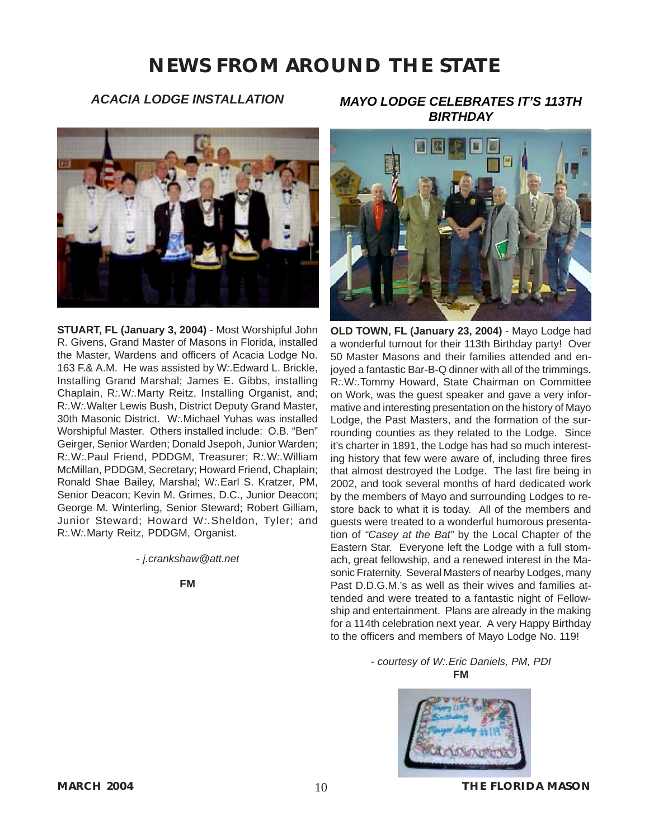#### *ACACIA LODGE INSTALLATION*

<span id="page-10-0"></span>

**STUART, FL (January 3, 2004)** - [Most Worshipful John](mailto:johgive@aol.com) [R. Givens](mailto:johgive@aol.com), Grand Master of Masons in Florida, installed the Master, Wardens and officers of Acacia Lodge No. 163 F.& A.M. He was assisted by W*:.*Edward L. Brickle, Installing Grand Marshal; James E. Gibbs, installing Chaplain, R*:.*W*:.*Marty Reitz, Installing Organist, and; R*:.*W*:.*Walter Lewis Bush, District Deputy Grand Master, 30th Masonic District. W*:.*Michael Yuhas was installed Worshipful Master. Others installed include: O.B. "Ben" Geirger, Senior Warden; Donald Jsepoh, Junior Warden; R*:.*W*:.*Paul Friend, PDDGM, Treasurer; R*:.*W*:.*William McMillan, PDDGM, Secretary; Howard Friend, Chaplain; Ronald Shae Bailey, Marshal; W*:.*Earl S. Kratzer, PM, Senior Deacon; Kevin M. Grimes, D.C., Junior Deacon; George M. Winterling, Senior Steward; Robert Gilliam, Junior Steward; Howard W*:.*Sheldon, Tyler; and R*:.*W*:.*Marty Reitz, PDDGM, Organist.

*- j.crankshaw@att.net*

**FM**

*MAYO LODGE CELEBRATES IT'S 113TH BIRTHDAY*



**OLD TOWN, FL (January 23, 2004)** - Mayo Lodge had a wonderful turnout for their 113th Birthday party! Over 50 Master Masons and their families attended and enjoyed a fantastic Bar-B-Q dinner with all of the trimmings. R*:.*W*:.*Tommy Howard, State Chairman on Committee on Work, was the guest speaker and gave a very informative and interesting presentation on the history of Mayo Lodge, the Past Masters, and the formation of the surrounding counties as they related to the Lodge. Since it's charter in 1891, the Lodge has had so much interesting history that few were aware of, including three fires that almost destroyed the Lodge. The last fire being in 2002, and took several months of hard dedicated work by the members of Mayo and surrounding Lodges to restore back to what it is today. All of the members and guests were treated to a wonderful humorous presentation of *"Casey at the Bat"* by the Local Chapter of the Eastern Star. Everyone left the Lodge with a full stomach, great fellowship, and a renewed interest in the Masonic Fraternity. Several Masters of nearby Lodges, many Past D.D.G.M.'s as well as their wives and families attended and were treated to a fantastic night of Fellowship and entertainment. Plans are already in the making for a 114th celebration next year. A very Happy Birthday to the officers and members of Mayo Lodge No. 119!

> *- courtesy of W:.Eric Daniels, PM, PDI* **FM**



**MARCH 2004** 10 **THE FLORIDA MASON**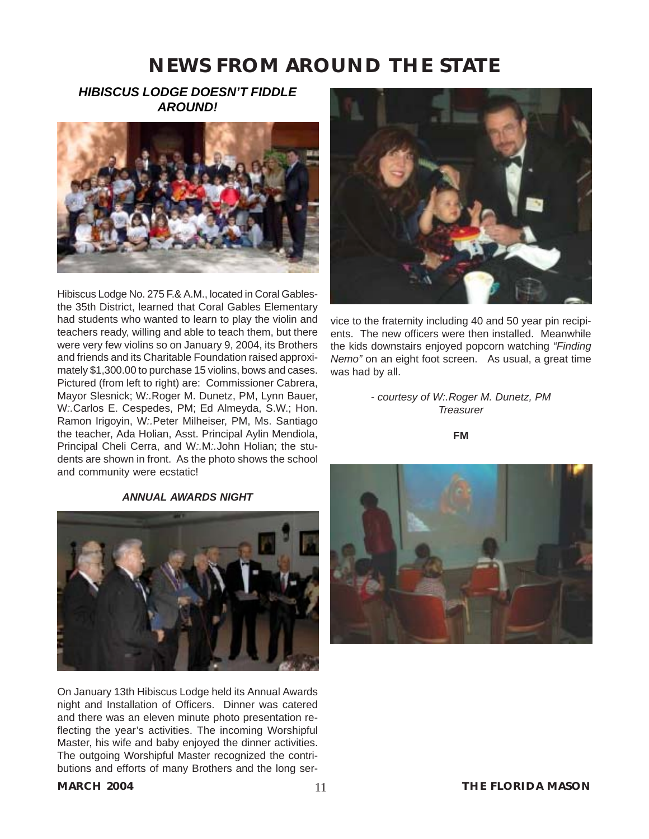## *HIBISCUS LODGE DOESN'T FIDDLE AROUND!*



Hibiscus Lodge No. 275 F.& A.M., located in Coral Gablesthe 35th District, learned that Coral Gables Elementary had students who wanted to learn to play the violin and teachers ready, willing and able to teach them, but there were very few violins so on January 9, 2004, its Brothers and friends and its Charitable Foundation raised approximately \$1,300.00 to purchase 15 violins, bows and cases. Pictured (from left to right) are: Commissioner Cabrera, Mayor Slesnick; W*:.*Roger M. Dunetz, PM, Lynn Bauer, W*:.*Carlos E. Cespedes, PM; Ed Almeyda, S.W.; Hon. Ramon Irigoyin, W*:.*Peter Milheiser, PM, Ms. Santiago the teacher, Ada Holian, Asst. Principal Aylin Mendiola, Principal Cheli Cerra, and W*:.*M*:.*John Holian; the students are shown in front. As the photo shows the school and community were ecstatic!

#### *ANNUAL AWARDS NIGHT*



On January 13th Hibiscus Lodge held its Annual Awards night and Installation of Officers. Dinner was catered and there was an eleven minute photo presentation reflecting the year's activities. The incoming Worshipful Master, his wife and baby enjoyed the dinner activities. The outgoing Worshipful Master recognized the contributions and efforts of many Brothers and the long ser-



vice to the fraternity including 40 and 50 year pin recipients. The new officers were then installed. Meanwhile the kids downstairs enjoyed popcorn watching *"Finding Nemo"* on an eight foot screen. As usual, a great time was had by all.

> *- courtesy of W:.Roger M. Dunetz, PM Treasurer*

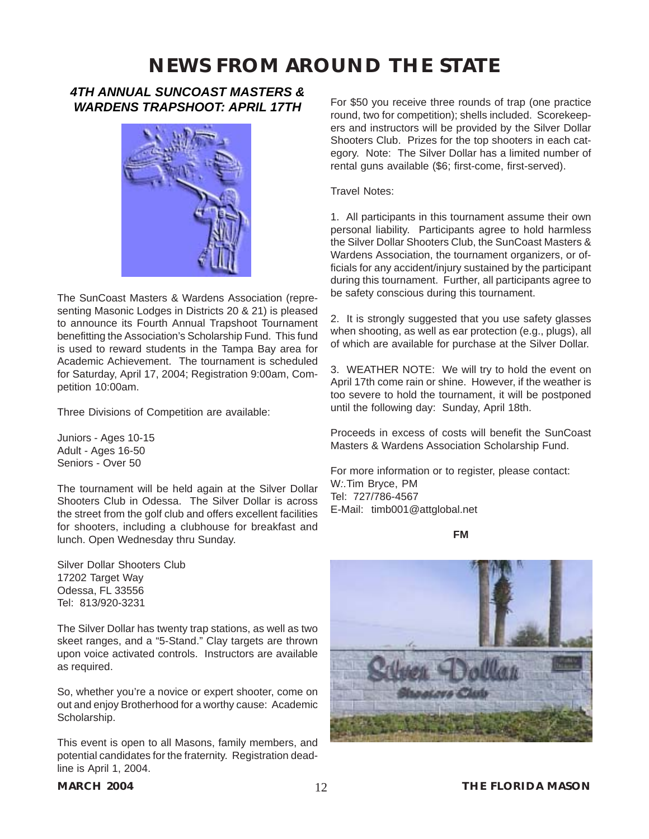#### *4TH ANNUAL SUNCOAST MASTERS & WARDENS TRAPSHOOT: APRIL 17TH*



The [SunCoast Masters & Wardens Association](#page-4-0) (representing Masonic Lodges in Districts 20 & 21) is pleased to announce its Fourth Annual Trapshoot Tournament benefitting the Association's Scholarship Fund. This fund is used to reward students in the Tampa Bay area for Academic Achievement. The tournament is scheduled for Saturday, April 17, 2004; Registration 9:00am, Competition 10:00am.

Three Divisions of Competition are available:

Juniors - Ages 10-15 Adult - Ages 16-50 Seniors - Over 50

The tournament will be held again at the Silver Dollar Shooters Club in Odessa. The Silver Dollar is across the street from the golf club and offers excellent facilities for shooters, including a clubhouse for breakfast and lunch. Open Wednesday thru Sunday.

Silver Dollar Shooters Club 17202 Target Way Odessa, FL 33556 Tel: 813/920-3231

The Silver Dollar has twenty trap stations, as well as two skeet ranges, and a "5-Stand." Clay targets are thrown upon voice activated controls. Instructors are available as required.

So, whether you're a novice or expert shooter, come on out and enjoy Brotherhood for a worthy cause: Academic Scholarship.

This event is open to all Masons, family members, and potential candidates for the fraternity. Registration deadline is April 1, 2004.

For \$50 you receive three rounds of trap (one practice round, two for competition); shells included. Scorekeepers and instructors will be provided by the Silver Dollar Shooters Club. Prizes for the top shooters in each category. Note: The Silver Dollar has a limited number of rental guns available (\$6; first-come, first-served).

Travel Notes:

1. All participants in this tournament assume their own personal liability. Participants agree to hold harmless the Silver Dollar Shooters Club, the SunCoast Masters & Wardens Association, the tournament organizers, or officials for any accident/injury sustained by the participant during this tournament. Further, all participants agree to be safety conscious during this tournament.

2. It is strongly suggested that you use safety glasses when shooting, as well as ear protection (e.g., plugs), all of which are available for purchase at the Silver Dollar.

3. WEATHER NOTE: We will try to hold the event on April 17th come rain or shine. However, if the weather is too severe to hold the tournament, it will be postponed until the following day: Sunday, April 18th.

Proceeds in excess of costs will benefit the SunCoast Masters & Wardens Association Scholarship Fund.

For more information or to register, please contact: W*:.*[Tim Bryce, PM](mailto:timb001@attglobal.net) Tel: 727/786-4567 [E-Mail: timb001@attglobal.net](mailto:timb001@attglobal.net)

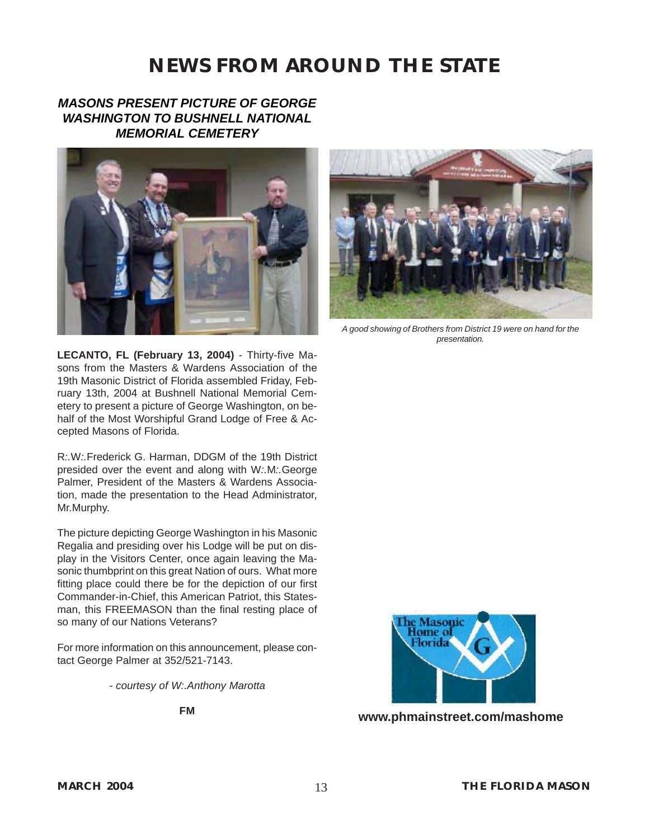## *MASONS PRESENT PICTURE OF GEORGE WASHINGTON TO BUSHNELL NATIONAL MEMORIAL CEMETERY*





*A good showing of Brothers from District 19 were on hand for the presentation.*

**LECANTO, FL (February 13, 2004)** - Thirty-five Masons from the Masters & Wardens Association of the 19th Masonic District of Florida assembled Friday, February 13th, 2004 at Bushnell National Memorial Cemetery to present a picture of George Washington, on behalf of the Most Worshipful Grand Lodge of Free & Accepted Masons of Florida.

R*:.*W*:.*Frederick G. Harman, DDGM of the 19th District presided over the event and along with W*:.*M*:.*George Palmer, President of the Masters & Wardens Association, made the presentation to the Head Administrator, Mr.Murphy.

The picture depicting George Washington in his Masonic Regalia and presiding over his Lodge will be put on display in the Visitors Center, once again leaving the Masonic thumbprint on this great Nation of ours. What more fitting place could there be for the depiction of our first Commander-in-Chief, this American Patriot, this Statesman, this FREEMASON than the final resting place of so many of our Nations Veterans?

For more information on this announcement, please contact George Palmer at 352/521-7143.

*- courtesy of W:.Anthony Marotta*

**FM**



**[www.phmainstreet.com/mashome](#page--1-0)**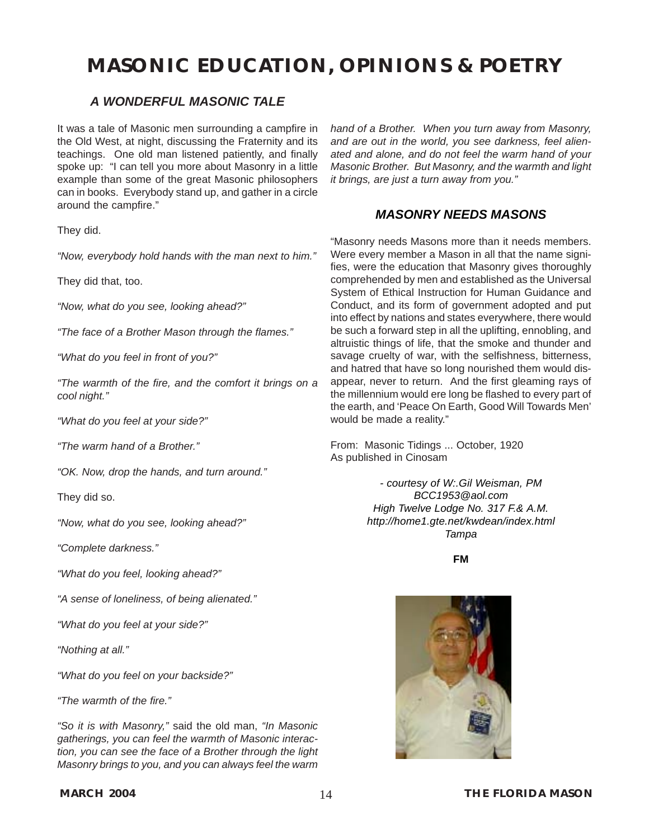#### *A WONDERFUL MASONIC TALE*

It was a tale of Masonic men surrounding a campfire in the Old West, at night, discussing the Fraternity and its teachings. One old man listened patiently, and finally spoke up: "I can tell you more about Masonry in a little example than some of the great Masonic philosophers can in books. Everybody stand up, and gather in a circle around the campfire."

They did.

*"Now, everybody hold hands with the man next to him."*

They did that, too.

*"Now, what do you see, looking ahead?"*

*"The face of a Brother Mason through the flames."*

*"What do you feel in front of you?"*

*"The warmth of the fire, and the comfort it brings on a cool night."*

*"What do you feel at your side?"*

*"The warm hand of a Brother."*

*"OK. Now, drop the hands, and turn around."*

They did so.

*"Now, what do you see, looking ahead?"*

*"Complete darkness."*

*"What do you feel, looking ahead?"*

*"A sense of loneliness, of being alienated."*

*"What do you feel at your side?"*

*"Nothing at all."*

*"What do you feel on your backside?"*

*"The warmth of the fire."*

*"So it is with Masonry,"* said the old man, *"In Masonic gatherings, you can feel the warmth of Masonic interaction, you can see the face of a Brother through the light Masonry brings to you, and you can always feel the warm* *hand of a Brother. When you turn away from Masonry, and are out in the world, you see darkness, feel alienated and alone, and do not feel the warm hand of your Masonic Brother. But Masonry, and the warmth and light it brings, are just a turn away from you."*

#### *MASONRY NEEDS MASONS*

"Masonry needs Masons more than it needs members. Were every member a Mason in all that the name signifies, were the education that Masonry gives thoroughly comprehended by men and established as the Universal System of Ethical Instruction for Human Guidance and Conduct, and its form of government adopted and put into effect by nations and states everywhere, there would be such a forward step in all the uplifting, ennobling, and altruistic things of life, that the smoke and thunder and savage cruelty of war, with the selfishness, bitterness, and hatred that have so long nourished them would disappear, never to return. And the first gleaming rays of the millennium would ere long be flashed to every part of the earth, and 'Peace On Earth, Good Will Towards Men' would be made a reality."

From: Masonic Tidings ... October, 1920 As published in Cinosam

> *- courtesy of [W:.Gil Weisman, PM](mailto:BCC1953@aol.com) [BCC1953@aol.com](mailto:BCC1953@aol.com) High Twelve Lodge No. 317 F.& A.M. http://home1.gte.net/kwdean/index.html Tampa*

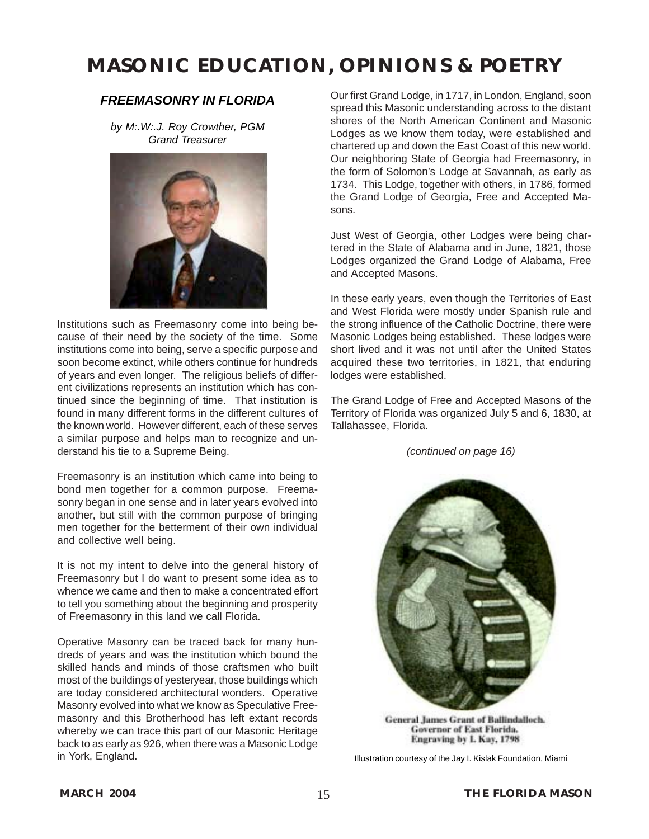#### *FREEMASONRY IN FLORIDA*

*by M:.W:.J. Roy Crowther, PGM Grand Treasurer*



Institutions such as Freemasonry come into being because of their need by the society of the time. Some institutions come into being, serve a specific purpose and soon become extinct, while others continue for hundreds of years and even longer. The religious beliefs of different civilizations represents an institution which has continued since the beginning of time. That institution is found in many different forms in the different cultures of the known world. However different, each of these serves a similar purpose and helps man to recognize and understand his tie to a Supreme Being.

Freemasonry is an institution which came into being to bond men together for a common purpose. Freemasonry began in one sense and in later years evolved into another, but still with the common purpose of bringing men together for the betterment of their own individual and collective well being.

It is not my intent to delve into the general history of Freemasonry but I do want to present some idea as to whence we came and then to make a concentrated effort to tell you something about the beginning and prosperity of Freemasonry in this land we call Florida.

Operative Masonry can be traced back for many hundreds of years and was the institution which bound the skilled hands and minds of those craftsmen who built most of the buildings of yesteryear, those buildings which are today considered architectural wonders. Operative Masonry evolved into what we know as Speculative Freemasonry and this Brotherhood has left extant records whereby we can trace this part of our Masonic Heritage back to as early as 926, when there was a Masonic Lodge in York, England.

Our first Grand Lodge, in 1717, in London, England, soon spread this Masonic understanding across to the distant shores of the North American Continent and Masonic Lodges as we know them today, were established and chartered up and down the East Coast of this new world. Our neighboring State of Georgia had Freemasonry, in the form of Solomon's Lodge at Savannah, as early as 1734. This Lodge, together with others, in 1786, formed the Grand Lodge of Georgia, Free and Accepted Masons.

Just West of Georgia, other Lodges were being chartered in the State of Alabama and in June, 1821, those Lodges organized the Grand Lodge of Alabama, Free and Accepted Masons.

In these early years, even though the Territories of East and West Florida were mostly under Spanish rule and the strong influence of the Catholic Doctrine, there were Masonic Lodges being established. These lodges were short lived and it was not until after the United States acquired these two territories, in 1821, that enduring lodges were established.

The Grand Lodge of Free and Accepted Masons of the Territory of Florida was organized July 5 and 6, 1830, at Tallahassee, Florida.

*(continued on page 16)*



**General James Grant of Ballindalloch.** Governor of East Florida. Engraving by I. Kay, 1798

Illustration courtesy of the Jay I. Kislak Foundation, Miami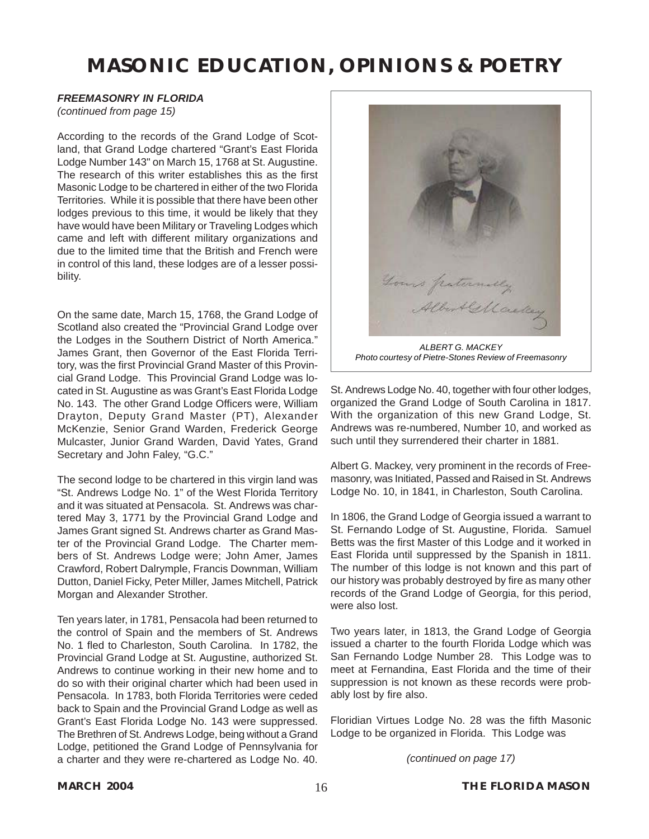#### *FREEMASONRY IN FLORIDA*

*(continued from page 15)*

According to the records of the Grand Lodge of Scotland, that Grand Lodge chartered "Grant's East Florida Lodge Number 143" on March 15, 1768 at St. Augustine. The research of this writer establishes this as the first Masonic Lodge to be chartered in either of the two Florida Territories. While it is possible that there have been other lodges previous to this time, it would be likely that they have would have been Military or Traveling Lodges which came and left with different military organizations and due to the limited time that the British and French were in control of this land, these lodges are of a lesser possibility.

On the same date, March 15, 1768, the Grand Lodge of Scotland also created the "Provincial Grand Lodge over the Lodges in the Southern District of North America." James Grant, then Governor of the East Florida Territory, was the first Provincial Grand Master of this Provincial Grand Lodge. This Provincial Grand Lodge was located in St. Augustine as was Grant's East Florida Lodge No. 143. The other Grand Lodge Officers were, William Drayton, Deputy Grand Master (PT), Alexander McKenzie, Senior Grand Warden, Frederick George Mulcaster, Junior Grand Warden, David Yates, Grand Secretary and John Faley, "G.C."

The second lodge to be chartered in this virgin land was "St. Andrews Lodge No. 1" of the West Florida Territory and it was situated at Pensacola. St. Andrews was chartered May 3, 1771 by the Provincial Grand Lodge and James Grant signed St. Andrews charter as Grand Master of the Provincial Grand Lodge. The Charter members of St. Andrews Lodge were; John Amer, James Crawford, Robert Dalrymple, Francis Downman, William Dutton, Daniel Ficky, Peter Miller, James Mitchell, Patrick Morgan and Alexander Strother.

Ten years later, in 1781, Pensacola had been returned to the control of Spain and the members of St. Andrews No. 1 fled to Charleston, South Carolina. In 1782, the Provincial Grand Lodge at St. Augustine, authorized St. Andrews to continue working in their new home and to do so with their original charter which had been used in Pensacola. In 1783, both Florida Territories were ceded back to Spain and the Provincial Grand Lodge as well as Grant's East Florida Lodge No. 143 were suppressed. The Brethren of St. Andrews Lodge, being without a Grand Lodge, petitioned the Grand Lodge of Pennsylvania for a charter and they were re-chartered as Lodge No. 40.



St. Andrews Lodge No. 40, together with four other lodges, organized the Grand Lodge of South Carolina in 1817. With the organization of this new Grand Lodge, St. Andrews was re-numbered, Number 10, and worked as

Albert G. Mackey, very prominent in the records of Freemasonry, was Initiated, Passed and Raised in St. Andrews Lodge No. 10, in 1841, in Charleston, South Carolina.

such until they surrendered their charter in 1881.

In 1806, the Grand Lodge of Georgia issued a warrant to St. Fernando Lodge of St. Augustine, Florida. Samuel Betts was the first Master of this Lodge and it worked in East Florida until suppressed by the Spanish in 1811. The number of this lodge is not known and this part of our history was probably destroyed by fire as many other records of the Grand Lodge of Georgia, for this period, were also lost.

Two years later, in 1813, the Grand Lodge of Georgia issued a charter to the fourth Florida Lodge which was San Fernando Lodge Number 28. This Lodge was to meet at Fernandina, East Florida and the time of their suppression is not known as these records were probably lost by fire also.

Floridian Virtues Lodge No. 28 was the fifth Masonic Lodge to be organized in Florida. This Lodge was

*(continued on page 17)*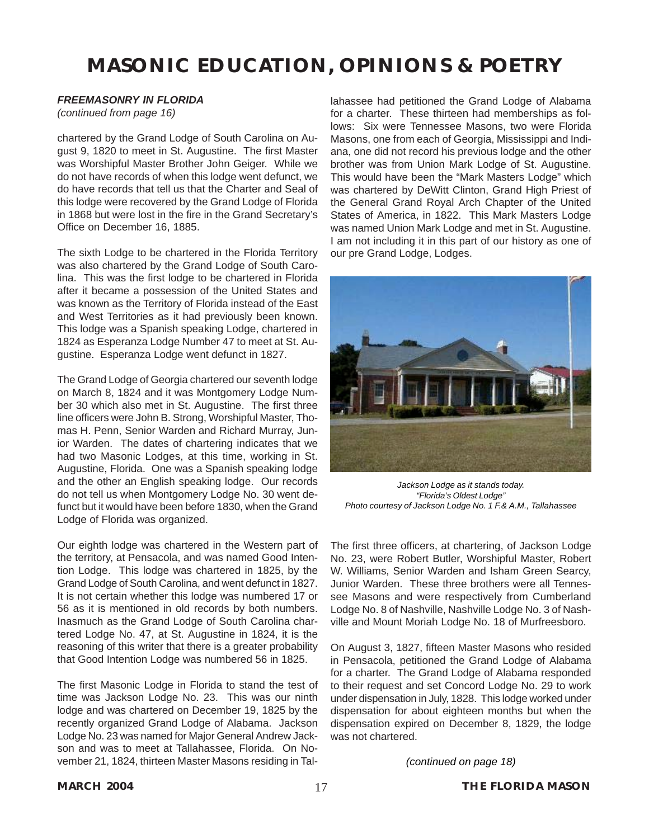#### *FREEMASONRY IN FLORIDA*

*(continued from page 16)*

chartered by the Grand Lodge of South Carolina on August 9, 1820 to meet in St. Augustine. The first Master was Worshipful Master Brother John Geiger. While we do not have records of when this lodge went defunct, we do have records that tell us that the Charter and Seal of this lodge were recovered by the Grand Lodge of Florida in 1868 but were lost in the fire in the Grand Secretary's Office on December 16, 1885.

The sixth Lodge to be chartered in the Florida Territory was also chartered by the Grand Lodge of South Carolina. This was the first lodge to be chartered in Florida after it became a possession of the United States and was known as the Territory of Florida instead of the East and West Territories as it had previously been known. This lodge was a Spanish speaking Lodge, chartered in 1824 as Esperanza Lodge Number 47 to meet at St. Augustine. Esperanza Lodge went defunct in 1827.

The Grand Lodge of Georgia chartered our seventh lodge on March 8, 1824 and it was Montgomery Lodge Number 30 which also met in St. Augustine. The first three line officers were John B. Strong, Worshipful Master, Thomas H. Penn, Senior Warden and Richard Murray, Junior Warden. The dates of chartering indicates that we had two Masonic Lodges, at this time, working in St. Augustine, Florida. One was a Spanish speaking lodge and the other an English speaking lodge. Our records do not tell us when Montgomery Lodge No. 30 went defunct but it would have been before 1830, when the Grand Lodge of Florida was organized.

Our eighth lodge was chartered in the Western part of the territory, at Pensacola, and was named Good Intention Lodge. This lodge was chartered in 1825, by the Grand Lodge of South Carolina, and went defunct in 1827. It is not certain whether this lodge was numbered 17 or 56 as it is mentioned in old records by both numbers. Inasmuch as the Grand Lodge of South Carolina chartered Lodge No. 47, at St. Augustine in 1824, it is the reasoning of this writer that there is a greater probability that Good Intention Lodge was numbered 56 in 1825.

The first Masonic Lodge in Florida to stand the test of time was Jackson Lodge No. 23. This was our ninth lodge and was chartered on December 19, 1825 by the recently organized Grand Lodge of Alabama. Jackson Lodge No. 23 was named for Major General Andrew Jackson and was to meet at Tallahassee, Florida. On November 21, 1824, thirteen Master Masons residing in Tal-

lahassee had petitioned the Grand Lodge of Alabama for a charter. These thirteen had memberships as follows: Six were Tennessee Masons, two were Florida Masons, one from each of Georgia, Mississippi and Indiana, one did not record his previous lodge and the other brother was from Union Mark Lodge of St. Augustine. This would have been the "Mark Masters Lodge" which was chartered by DeWitt Clinton, Grand High Priest of the General Grand Royal Arch Chapter of the United States of America, in 1822. This Mark Masters Lodge was named Union Mark Lodge and met in St. Augustine. I am not including it in this part of our history as one of our pre Grand Lodge, Lodges.



*Jackson Lodge as it stands today. "Florida's Oldest Lodge" Photo courtesy of Jackson Lodge No. 1 F.& A.M., Tallahassee*

The first three officers, at chartering, of Jackson Lodge No. 23, were Robert Butler, Worshipful Master, Robert W. Williams, Senior Warden and Isham Green Searcy, Junior Warden. These three brothers were all Tennessee Masons and were respectively from Cumberland Lodge No. 8 of Nashville, Nashville Lodge No. 3 of Nashville and Mount Moriah Lodge No. 18 of Murfreesboro.

On August 3, 1827, fifteen Master Masons who resided in Pensacola, petitioned the Grand Lodge of Alabama for a charter. The Grand Lodge of Alabama responded to their request and set Concord Lodge No. 29 to work under dispensation in July, 1828. This lodge worked under dispensation for about eighteen months but when the dispensation expired on December 8, 1829, the lodge was not chartered.

*(continued on page 18)*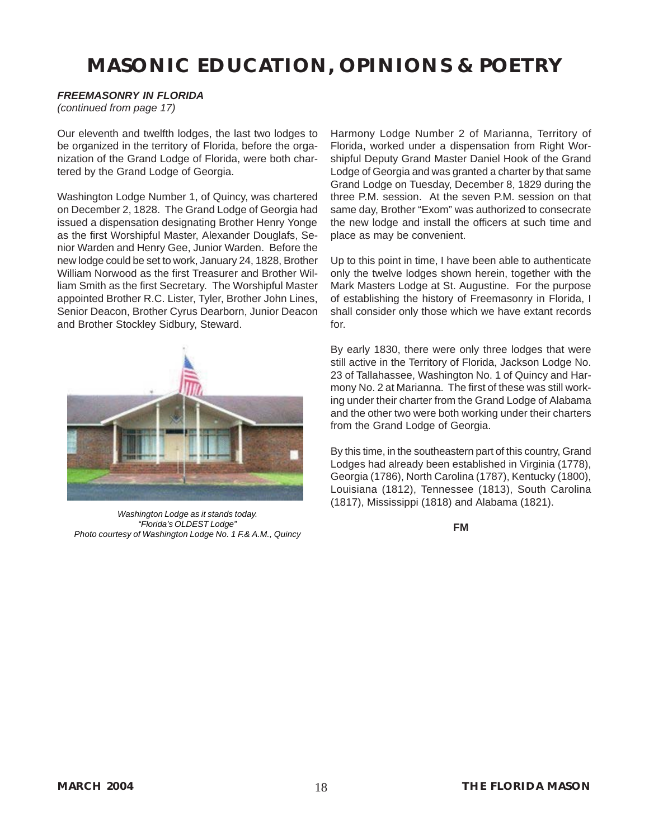#### *FREEMASONRY IN FLORIDA*

*(continued from page 17)*

Our eleventh and twelfth lodges, the last two lodges to be organized in the territory of Florida, before the organization of the Grand Lodge of Florida, were both chartered by the Grand Lodge of Georgia.

Washington Lodge Number 1, of Quincy, was chartered on December 2, 1828. The Grand Lodge of Georgia had issued a dispensation designating Brother Henry Yonge as the first Worshipful Master, Alexander Douglafs, Senior Warden and Henry Gee, Junior Warden. Before the new lodge could be set to work, January 24, 1828, Brother William Norwood as the first Treasurer and Brother William Smith as the first Secretary. The Worshipful Master appointed Brother R.C. Lister, Tyler, Brother John Lines, Senior Deacon, Brother Cyrus Dearborn, Junior Deacon and Brother Stockley Sidbury, Steward.



*Washington Lodge as it stands today. "Florida's OLDEST Lodge" Photo courtesy of Washington Lodge No. 1 F.& A.M., Quincy*

Harmony Lodge Number 2 of Marianna, Territory of Florida, worked under a dispensation from Right Worshipful Deputy Grand Master Daniel Hook of the Grand Lodge of Georgia and was granted a charter by that same Grand Lodge on Tuesday, December 8, 1829 during the three P.M. session. At the seven P.M. session on that same day, Brother "Exom" was authorized to consecrate the new lodge and install the officers at such time and place as may be convenient.

Up to this point in time, I have been able to authenticate only the twelve lodges shown herein, together with the Mark Masters Lodge at St. Augustine. For the purpose of establishing the history of Freemasonry in Florida, I shall consider only those which we have extant records for.

By early 1830, there were only three lodges that were still active in the Territory of Florida, Jackson Lodge No. 23 of Tallahassee, Washington No. 1 of Quincy and Harmony No. 2 at Marianna. The first of these was still working under their charter from the Grand Lodge of Alabama and the other two were both working under their charters from the Grand Lodge of Georgia.

By this time, in the southeastern part of this country, Grand Lodges had already been established in Virginia (1778), Georgia (1786), North Carolina (1787), Kentucky (1800), Louisiana (1812), Tennessee (1813), South Carolina (1817), Mississippi (1818) and Alabama (1821).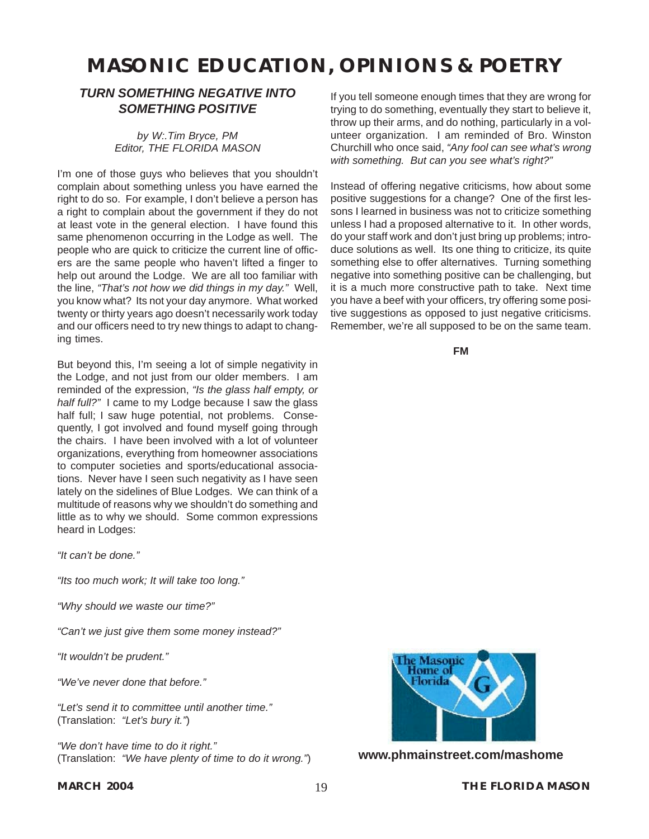#### *TURN SOMETHING NEGATIVE INTO SOMETHING POSITIVE*

*by [W:.Tim Bryce, PM](mailto:timb001@attglobal.net) Editor, THE FLORIDA MASON*

I'm one of those guys who believes that you shouldn't complain about something unless you have earned the right to do so. For example, I don't believe a person has a right to complain about the government if they do not at least vote in the general election. I have found this same phenomenon occurring in the Lodge as well. The people who are quick to criticize the current line of officers are the same people who haven't lifted a finger to help out around the Lodge. We are all too familiar with the line, *"That's not how we did things in my day."* Well, you know what? Its not your day anymore. What worked twenty or thirty years ago doesn't necessarily work today and our officers need to try new things to adapt to changing times.

But beyond this, I'm seeing a lot of simple negativity in the Lodge, and not just from our older members. I am reminded of the expression, *"Is the glass half empty, or half full?"* I came to my Lodge because I saw the glass half full; I saw huge potential, not problems. Consequently, I got involved and found myself going through the chairs. I have been involved with a lot of volunteer organizations, everything from homeowner associations to computer societies and sports/educational associations. Never have I seen such negativity as I have seen lately on the sidelines of Blue Lodges. We can think of a multitude of reasons why we shouldn't do something and little as to why we should. Some common expressions heard in Lodges:

*"It can't be done."*

*"Its too much work; It will take too long."*

*"Why should we waste our time?"*

*"Can't we just give them some money instead?"*

*"It wouldn't be prudent."*

*"We've never done that before."*

*"Let's send it to committee until another time."* (Translation: *"Let's bury it."*)

*"We don't have time to do it right."* (Translation: *"We have plenty of time to do it wrong."*)

If you tell someone enough times that they are wrong for trying to do something, eventually they start to believe it, throw up their arms, and do nothing, particularly in a volunteer organization. I am reminded of Bro. Winston Churchill who once said, *"Any fool can see what's wrong with something. But can you see what's right?"*

Instead of offering negative criticisms, how about some positive suggestions for a change? One of the first lessons I learned in business was not to criticize something unless I had a proposed alternative to it. In other words, do your staff work and don't just bring up problems; introduce solutions as well. Its one thing to criticize, its quite something else to offer alternatives. Turning something negative into something positive can be challenging, but it is a much more constructive path to take. Next time you have a beef with your officers, try offering some positive suggestions as opposed to just negative criticisms. Remember, we're all supposed to be on the same team.

**FM**



**www.phmainstreet.com/mashome**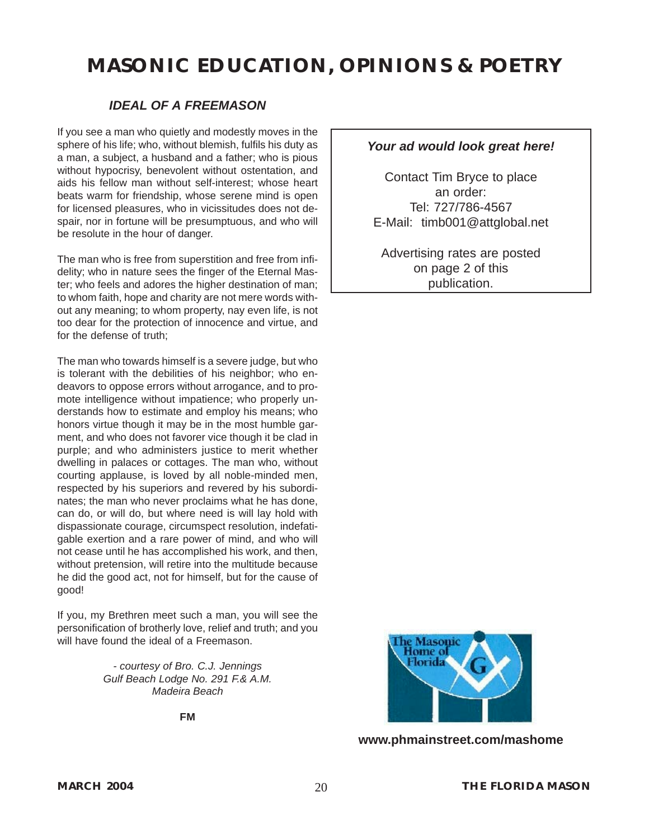#### *IDEAL OF A FREEMASON*

If you see a man who quietly and modestly moves in the sphere of his life; who, without blemish, fulfils his duty as a man, a subject, a husband and a father; who is pious without hypocrisy, benevolent without ostentation, and aids his fellow man without self-interest; whose heart beats warm for friendship, whose serene mind is open for licensed pleasures, who in vicissitudes does not despair, nor in fortune will be presumptuous, and who will be resolute in the hour of danger.

The man who is free from superstition and free from infidelity; who in nature sees the finger of the Eternal Master; who feels and adores the higher destination of man; to whom faith, hope and charity are not mere words without any meaning; to whom property, nay even life, is not too dear for the protection of innocence and virtue, and for the defense of truth;

The man who towards himself is a severe judge, but who is tolerant with the debilities of his neighbor; who endeavors to oppose errors without arrogance, and to promote intelligence without impatience; who properly understands how to estimate and employ his means; who honors virtue though it may be in the most humble garment, and who does not favorer vice though it be clad in purple; and who administers justice to merit whether dwelling in palaces or cottages. The man who, without courting applause, is loved by all noble-minded men, respected by his superiors and revered by his subordinates; the man who never proclaims what he has done, can do, or will do, but where need is will lay hold with dispassionate courage, circumspect resolution, indefatigable exertion and a rare power of mind, and who will not cease until he has accomplished his work, and then, without pretension, will retire into the multitude because he did the good act, not for himself, but for the cause of good!

If you, my Brethren meet such a man, you will see the personification of brotherly love, relief and truth; and you will have found the ideal of a Freemason.

> *- courtesy of Bro. C.J. Jennings [Gulf Beach Lodge No. 291 F.& A.M.](#page-8-0) Madeira Beach*

> > **FM**

#### *Your ad would look great here!*

Contact Tim Bryce to place an order: Tel: 727/786-4567 E-Mail: [timb001@attglobal.net](mailto:timb001@attglobal.net)

Advertising rates are posted on page 2 of this publication.



**[www.phmainstreet.com/mashome](#page--1-0)**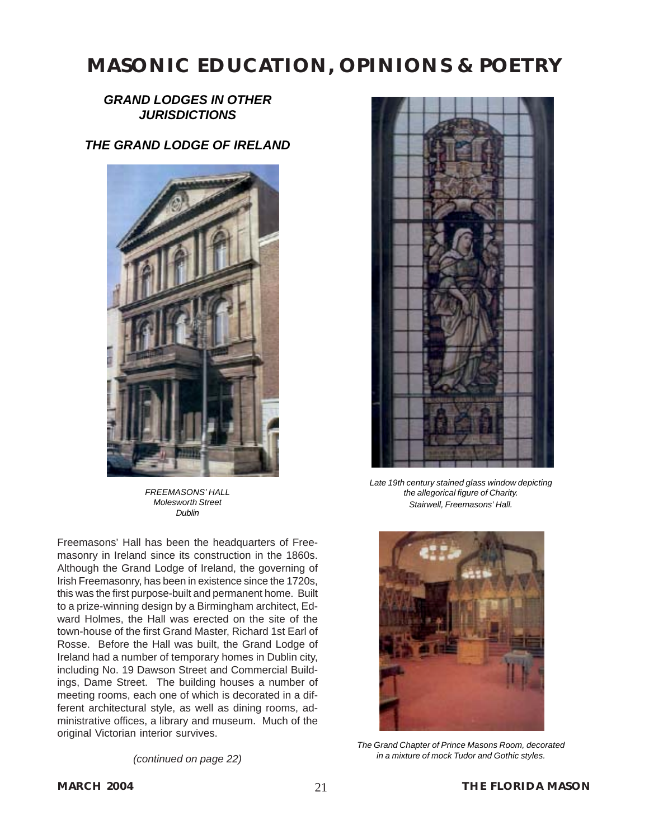### *GRAND LODGES IN OTHER JURISDICTIONS*

## *THE GRAND LODGE OF IRELAND*



*FREEMASONS' HALL Molesworth Street Dublin*

Freemasons' Hall has been the headquarters of Freemasonry in Ireland since its construction in the 1860s. Although the Grand Lodge of Ireland, the governing of Irish Freemasonry, has been in existence since the 1720s, this was the first purpose-built and permanent home. Built to a prize-winning design by a Birmingham architect, Edward Holmes, the Hall was erected on the site of the town-house of the first Grand Master, Richard 1st Earl of Rosse. Before the Hall was built, the Grand Lodge of Ireland had a number of temporary homes in Dublin city, including No. 19 Dawson Street and Commercial Buildings, Dame Street. The building houses a number of meeting rooms, each one of which is decorated in a different architectural style, as well as dining rooms, administrative offices, a library and museum. Much of the original Victorian interior survives.

*(continued on page 22)*



*Late 19th century stained glass window depicting the allegorical figure of Charity. Stairwell, Freemasons' Hall.*



*The Grand Chapter of Prince Masons Room, decorated in a mixture of mock Tudor and Gothic styles.*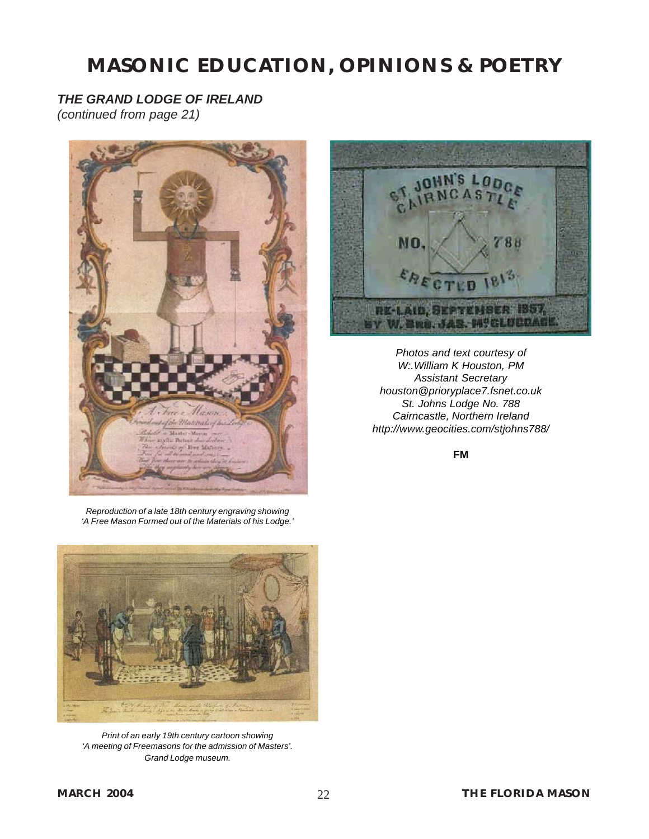## *THE GRAND LODGE OF IRELAND*

*(continued from page 21)*





*Photos and text courtesy of W:.William K Houston, PM Assistant Secretary houston@prioryplace7.fsnet.co.uk St. Johns Lodge No. 788 Cairncastle, Northern Ireland http://www.geocities.com/stjohns788/*

*Reproduction of a late 18th century engraving showing 'A Free Mason Formed out of the Materials of his Lodge.'*



*Print of an early 19th century cartoon showing 'A meeting of Freemasons for the admission of Masters'. Grand Lodge museum.*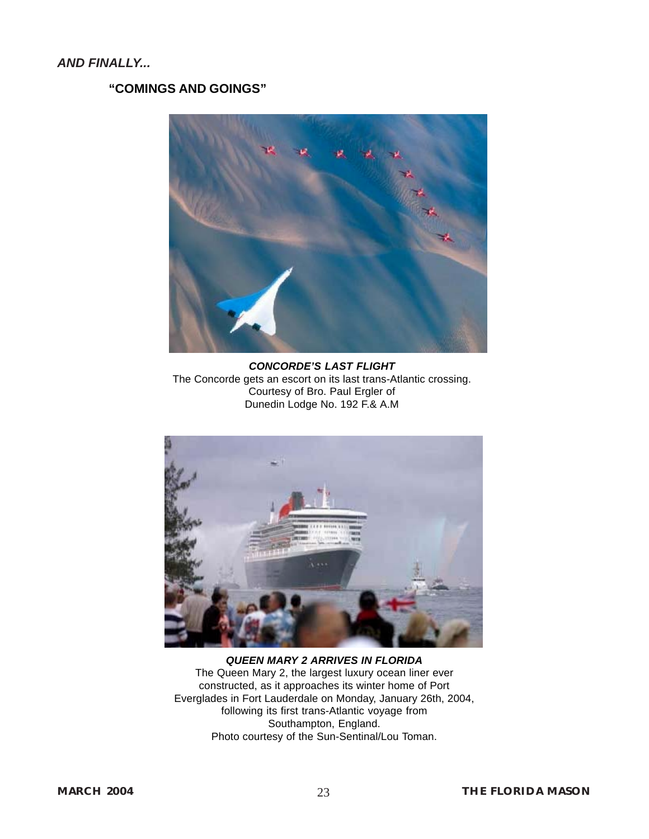### **"COMINGS AND GOINGS"**



*CONCORDE'S LAST FLIGHT* The Concorde gets an escort on its last trans-Atlantic crossing. Courtesy of Bro. Paul Ergler of Dunedin Lodge No. 192 F.& A.M



*QUEEN MARY 2 ARRIVES IN FLORIDA* The Queen Mary 2, the largest luxury ocean liner ever constructed, as it approaches its winter home of Port Everglades in Fort Lauderdale on Monday, January 26th, 2004, following its first trans-Atlantic voyage from Southampton, England. Photo courtesy of the Sun-Sentinal/Lou Toman.